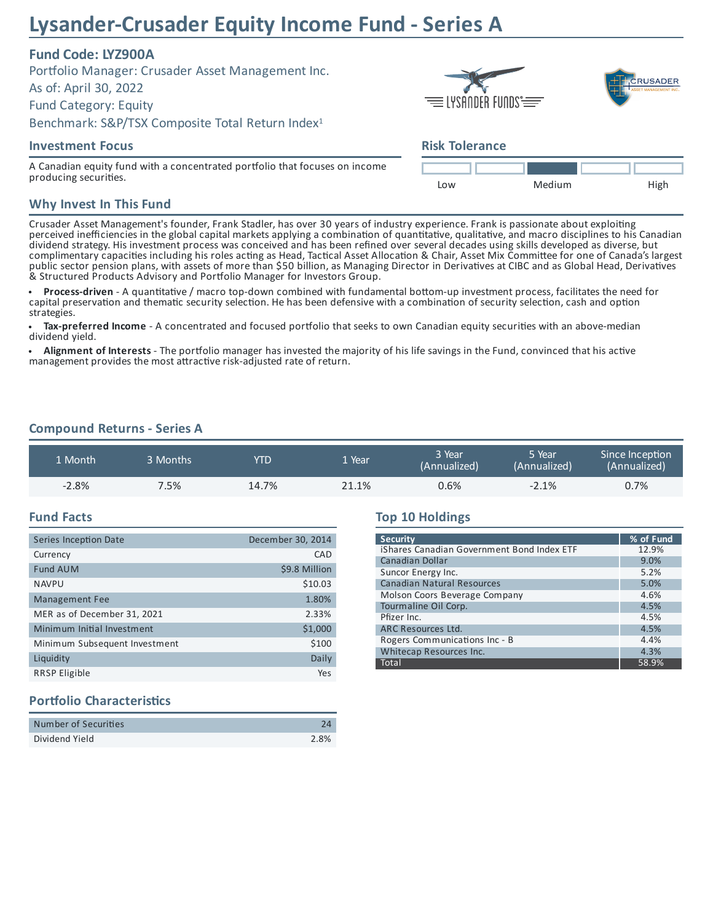# **Lysander-Crusader Equity Income Fund - Series A**

# **Fund Code: LYZ900A**

Portfolio Manager: Crusader Asset Management Inc. As of: April 30, 2022 Fund Category: Equity Benchmark: S&P/TSX Composite Total Return Index 1

## **Investment Focus**

A Canadian equity fund with a concentrated portfolio that focuses on income producing securities.

# **RUSADER**  $\equiv$  lysander funds  $\equiv$

## **Risk Tolerance**



#### **Why Invest In This Fund**

Crusader Asset Management's founder, Frank Stadler, has over 30 years of industry experience. Frank is passionate about exploiting perceived inefficiencies in the global capital markets applying a combination of quantitative, qualitative, and macro disciplines to his Canadian dividend strategy. His investment process was conceived and has been refined over several decades using skills developed as diverse, but complimentary capacities including his roles acting as Head, Tactical Asset Allocation & Chair, Asset Mix Committee for one of Canada's largest public sector pension plans, with assets of more than \$50 billion, as Managing Director in Derivatives at CIBC and as Global Head, Derivatives & Structured Products Advisory and Portfolio Manager for Investors Group.

 $\bullet$ **Process-driven** - A quantitative / macro top-down combined with fundamental bottom-up investment process, facilitates the need for capital preservation and thematic security selection. He has been defensive with a combination of security selection, cash and option strategies.

Tax-preferred Income - A concentrated and focused portfolio that seeks to own Canadian equity securities with an above-median dividend yield.

Alignment of Interests - The portfolio manager has invested the majority of his life savings in the Fund, convinced that his active management provides the most attractive risk-adjusted rate of return.

## **Compound Returns - Series A**

| 1 Month | 3 Months | YTD   | Vear  | 3 Year<br>(Annualized) | 5 Year<br>(Annualized) | Since Inception<br>(Annualized) |
|---------|----------|-------|-------|------------------------|------------------------|---------------------------------|
| $-2.8%$ | 7.5%     | 14.7% | 21.1% | 0.6%                   | $-2.1%$                | 0.7%                            |

#### **Fund Facts**

| Series Inception Date         | December 30, 2014 |
|-------------------------------|-------------------|
| Currency                      | CAD               |
| <b>Fund AUM</b>               | \$9.8 Million     |
| <b>NAVPU</b>                  | \$10.03           |
| <b>Management Fee</b>         | 1.80%             |
| MER as of December 31, 2021   | 2.33%             |
| Minimum Initial Investment    | \$1,000           |
| Minimum Subsequent Investment | \$100             |
| Liquidity                     | Daily             |
| <b>RRSP Eligible</b>          | Yes               |

### **Top 10 Holdings**

| <b>Security</b>                            | % of Fund |  |  |
|--------------------------------------------|-----------|--|--|
| iShares Canadian Government Bond Index ETF | 12.9%     |  |  |
| <b>Canadian Dollar</b>                     | 9.0%      |  |  |
| Suncor Energy Inc.                         | 5.2%      |  |  |
| <b>Canadian Natural Resources</b>          | 5.0%      |  |  |
| Molson Coors Beverage Company              | 4.6%      |  |  |
| Tourmaline Oil Corp.                       | 4.5%      |  |  |
| Pfizer Inc.                                | 4.5%      |  |  |
| <b>ARC Resources Ltd.</b>                  | 4.5%      |  |  |
| Rogers Communications Inc - B              | 4.4%      |  |  |
| Whitecap Resources Inc.                    | 4.3%      |  |  |
| Total                                      | 58.9%     |  |  |

## **Portfolio Characteristics**

| Number of Securities |      |
|----------------------|------|
| Dividend Yield       | 2.8% |